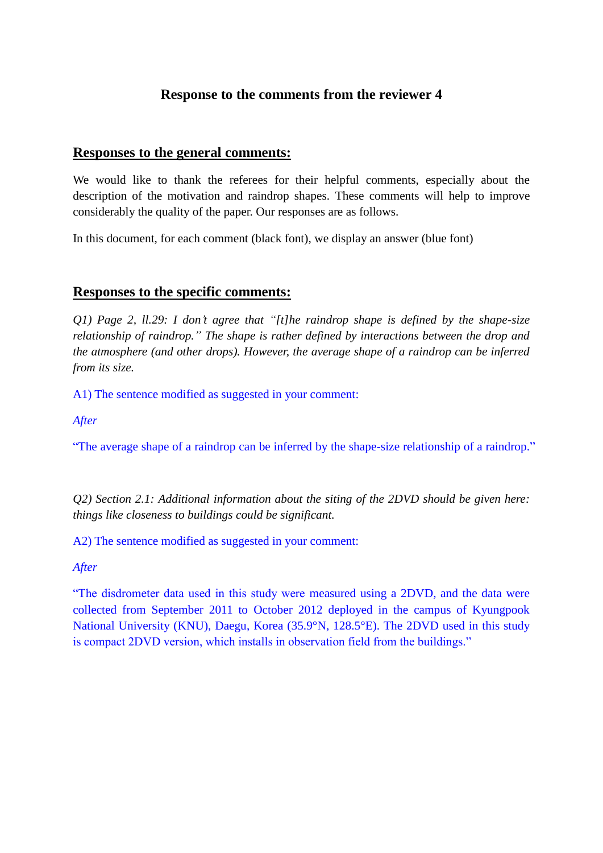# **Response to the comments from the reviewer 4**

# **Responses to the general comments:**

We would like to thank the referees for their helpful comments, especially about the description of the motivation and raindrop shapes. These comments will help to improve considerably the quality of the paper. Our responses are as follows.

In this document, for each comment (black font), we display an answer (blue font)

# **Responses to the specific comments:**

*Q1) Page 2, ll.29: I don't agree that "[t]he raindrop shape is defined by the shape-size relationship of raindrop." The shape is rather defined by interactions between the drop and the atmosphere (and other drops). However, the average shape of a raindrop can be inferred from its size.*

A1) The sentence modified as suggested in your comment:

*After*

"The average shape of a raindrop can be inferred by the shape-size relationship of a raindrop."

*Q2) Section 2.1: Additional information about the siting of the 2DVD should be given here: things like closeness to buildings could be significant.*

A2) The sentence modified as suggested in your comment:

*After*

"The disdrometer data used in this study were measured using a 2DVD, and the data were collected from September 2011 to October 2012 deployed in the campus of Kyungpook National University (KNU), Daegu, Korea (35.9°N, 128.5°E). The 2DVD used in this study is compact 2DVD version, which installs in observation field from the buildings."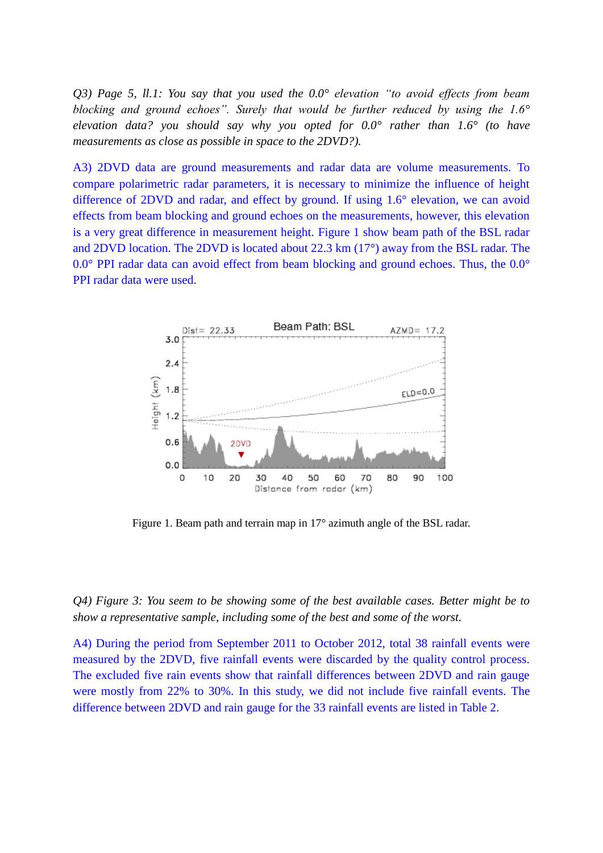*Q3) Page 5, ll.1: You say that you used the 0.0° elevation "to avoid effects from beam blocking and ground echoes". Surely that would be further reduced by using the 1.6° elevation data? you should say why you opted for 0.0° rather than 1.6° (to have measurements as close as possible in space to the 2DVD?).*

A3) 2DVD data are ground measurements and radar data are volume measurements. To compare polarimetric radar parameters, it is necessary to minimize the influence of height difference of 2DVD and radar, and effect by ground. If using 1.6° elevation, we can avoid effects from beam blocking and ground echoes on the measurements, however, this elevation is a very great difference in measurement height. Figure 1 show beam path of the BSL radar and 2DVD location. The 2DVD is located about 22.3 km (17°) away from the BSL radar. The 0.0° PPI radar data can avoid effect from beam blocking and ground echoes. Thus, the 0.0° PPI radar data were used.



Figure 1. Beam path and terrain map in 17° azimuth angle of the BSL radar.

### *Q4) Figure 3: You seem to be showing some of the best available cases. Better might be to show a representative sample, including some of the best and some of the worst.*

A4) During the period from September 2011 to October 2012, total 38 rainfall events were measured by the 2DVD, five rainfall events were discarded by the quality control process. The excluded five rain events show that rainfall differences between 2DVD and rain gauge were mostly from 22% to 30%. In this study, we did not include five rainfall events. The difference between 2DVD and rain gauge for the 33 rainfall events are listed in Table 2.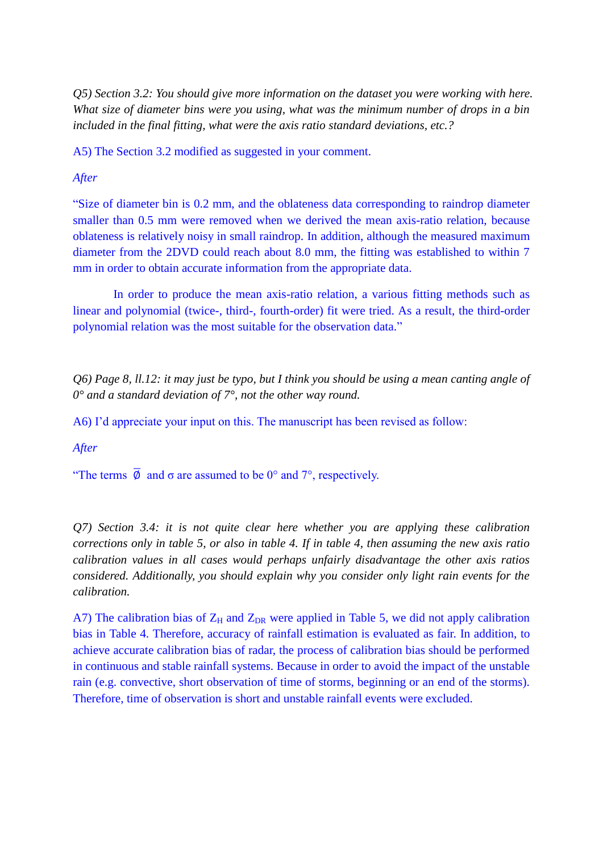*Q5) Section 3.2: You should give more information on the dataset you were working with here. What size of diameter bins were you using, what was the minimum number of drops in a bin included in the final fitting, what were the axis ratio standard deviations, etc.?*

A5) The Section 3.2 modified as suggested in your comment.

### *After*

"Size of diameter bin is 0.2 mm, and the oblateness data corresponding to raindrop diameter smaller than 0.5 mm were removed when we derived the mean axis-ratio relation, because oblateness is relatively noisy in small raindrop. In addition, although the measured maximum diameter from the 2DVD could reach about 8.0 mm, the fitting was established to within 7 mm in order to obtain accurate information from the appropriate data.

In order to produce the mean axis-ratio relation, a various fitting methods such as linear and polynomial (twice-, third-, fourth-order) fit were tried. As a result, the third-order polynomial relation was the most suitable for the observation data."

*Q6) Page 8, ll.12: it may just be typo, but I think you should be using a mean canting angle of 0° and a standard deviation of 7°, not the other way round.*

A6) I'd appreciate your input on this. The manuscript has been revised as follow:

## *After*

"The terms  $\overline{\emptyset}$  and  $\sigma$  are assumed to be 0° and 7°, respectively.

*Q7) Section 3.4: it is not quite clear here whether you are applying these calibration corrections only in table 5, or also in table 4. If in table 4, then assuming the new axis ratio calibration values in all cases would perhaps unfairly disadvantage the other axis ratios considered. Additionally, you should explain why you consider only light rain events for the calibration.*

A7) The calibration bias of  $Z_H$  and  $Z_{DR}$  were applied in Table 5, we did not apply calibration bias in Table 4. Therefore, accuracy of rainfall estimation is evaluated as fair. In addition, to achieve accurate calibration bias of radar, the process of calibration bias should be performed in continuous and stable rainfall systems. Because in order to avoid the impact of the unstable rain (e.g. convective, short observation of time of storms, beginning or an end of the storms). Therefore, time of observation is short and unstable rainfall events were excluded.